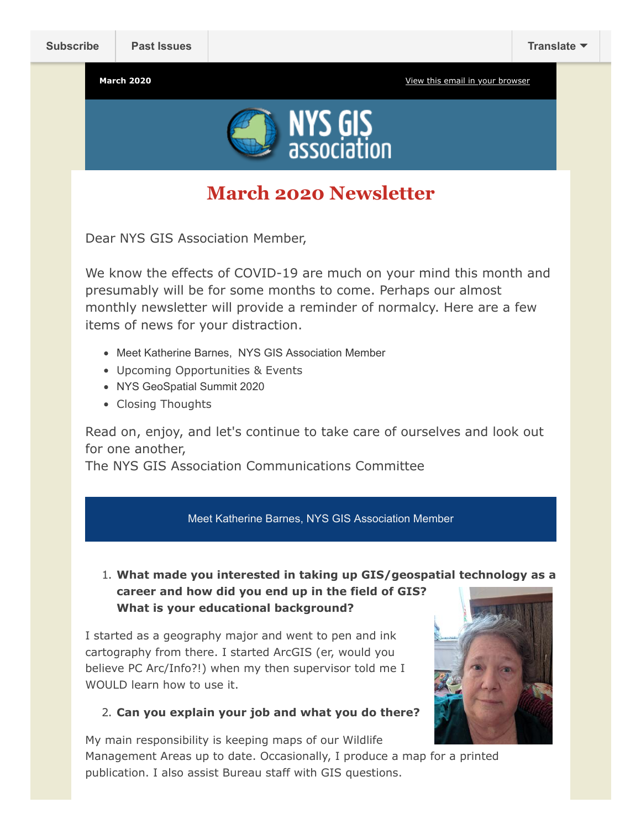

# **March 2020 Newsletter**

Dear NYS GIS Association Member,

We know the effects of COVID-19 are much on your mind this month and presumably will be for some months to come. Perhaps our almost monthly newsletter will provide a reminder of normalcy. Here are a few items of news for your distraction.

- Meet Katherine Barnes, NYS GIS Association Member
- Upcoming Opportunities & Events
- NYS GeoSpatial Summit 2020
- Closing Thoughts

Read on, enjoy, and let's continue to take care of ourselves and look out for one another,

The NYS GIS Association Communications Committee

#### Meet Katherine Barnes, NYS GIS Association Member

### 1. **What made you interested in taking up GIS/geospatial technology as a career and how did you end up in the field of GIS? What is your educational background?**

I started as a geography major and went to pen and ink cartography from there. I started ArcGIS (er, would you believe PC Arc/Info?!) when my then supervisor told me I WOULD learn how to use it.

#### 2. **Can you explain your job and what you do there?**

My main responsibility is keeping maps of our Wildlife Management Areas up to date. Occasionally, I produce a map for a printed publication. I also assist Bureau staff with GIS questions.

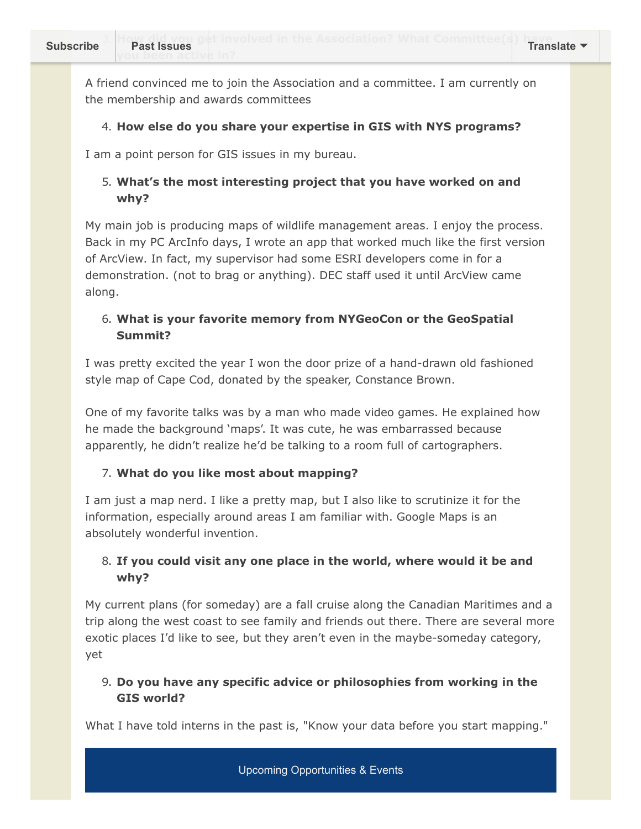A friend convinced me to join the Association and a committee. I am currently on the membership and awards committees

### 4. **How else do you share your expertise in GIS with NYS programs?**

I am a point person for GIS issues in my bureau.

# 5. **What's the most interesting project that you have worked on and why?**

My main job is producing maps of wildlife management areas. I enjoy the process. Back in my PC ArcInfo days, I wrote an app that worked much like the first version of ArcView. In fact, my supervisor had some ESRI developers come in for a demonstration. (not to brag or anything). DEC staff used it until ArcView came along.

# 6. **What is your favorite memory from NYGeoCon or the GeoSpatial Summit?**

I was pretty excited the year I won the door prize of a hand-drawn old fashioned style map of Cape Cod, donated by the speaker, Constance Brown.

One of my favorite talks was by a man who made video games. He explained how he made the background 'maps'. It was cute, he was embarrassed because apparently, he didn't realize he'd be talking to a room full of cartographers.

#### 7. **What do you like most about mapping?**

I am just a map nerd. I like a pretty map, but I also like to scrutinize it for the information, especially around areas I am familiar with. Google Maps is an absolutely wonderful invention.

## 8. **If you could visit any one place in the world, where would it be and why?**

My current plans (for someday) are a fall cruise along the Canadian Maritimes and a trip along the west coast to see family and friends out there. There are several more exotic places I'd like to see, but they aren't even in the maybe-someday category, yet

## 9. **Do you have any specific advice or philosophies from working in the GIS world?**

What I have told interns in the past is, "Know your data before you start mapping."